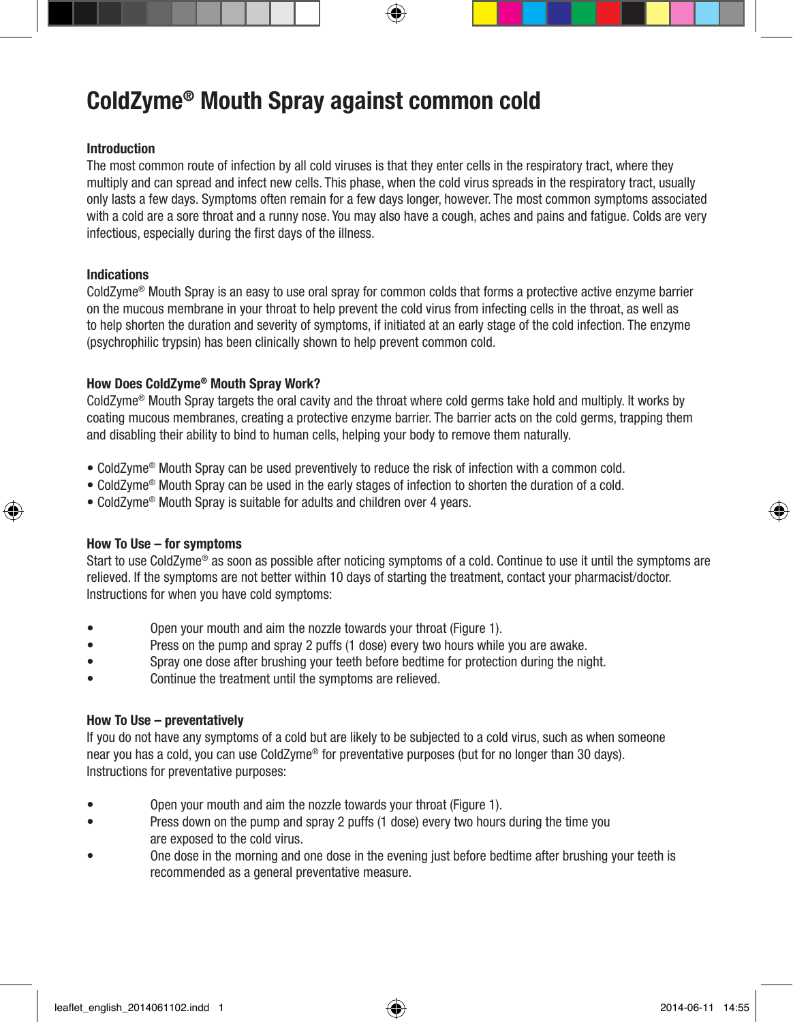# ColdZyme® Mouth Spray against common cold

# Introduction

The most common route of infection by all cold viruses is that they enter cells in the respiratory tract, where they multiply and can spread and infect new cells. This phase, when the cold virus spreads in the respiratory tract, usually only lasts a few days. Symptoms often remain for a few days longer, however. The most common symptoms associated with a cold are a sore throat and a runny nose. You may also have a cough, aches and pains and fatigue. Colds are very infectious, especially during the first days of the illness.

#### Indications

⊕

ColdZyme® Mouth Spray is an easy to use oral spray for common colds that forms a protective active enzyme barrier on the mucous membrane in your throat to help prevent the cold virus from infecting cells in the throat, as well as to help shorten the duration and severity of symptoms, if initiated at an early stage of the cold infection. The enzyme (psychrophilic trypsin) has been clinically shown to help prevent common cold.

## How Does ColdZyme® Mouth Spray Work?

ColdZyme® Mouth Spray targets the oral cavity and the throat where cold germs take hold and multiply. It works by coating mucous membranes, creating a protective enzyme barrier. The barrier acts on the cold germs, trapping them and disabling their ability to bind to human cells, helping your body to remove them naturally.

- ColdZyme® Mouth Spray can be used preventively to reduce the risk of infection with a common cold.
- ColdZyme® Mouth Spray can be used in the early stages of infection to shorten the duration of a cold.
- ColdZyme® Mouth Spray is suitable for adults and children over 4 years.

#### How To Use – for symptoms

Start to use ColdZyme<sup>®</sup> as soon as possible after noticing symptoms of a cold. Continue to use it until the symptoms are relieved. If the symptoms are not better within 10 days of starting the treatment, contact your pharmacist/doctor. Instructions for when you have cold symptoms:

- Open your mouth and aim the nozzle towards your throat (Figure 1).
- Press on the pump and spray 2 puffs (1 dose) every two hours while you are awake.
- Spray one dose after brushing your teeth before bedtime for protection during the night.
- Continue the treatment until the symptoms are relieved.

## How To Use – preventatively

If you do not have any symptoms of a cold but are likely to be subjected to a cold virus, such as when someone near you has a cold, you can use ColdZyme® for preventative purposes (but for no longer than 30 days). Instructions for preventative purposes:

- Open your mouth and aim the nozzle towards your throat (Figure 1).
- Press down on the pump and spray 2 puffs (1 dose) every two hours during the time you are exposed to the cold virus.
- One dose in the morning and one dose in the evening just before bedtime after brushing your teeth is recommended as a general preventative measure.

♠